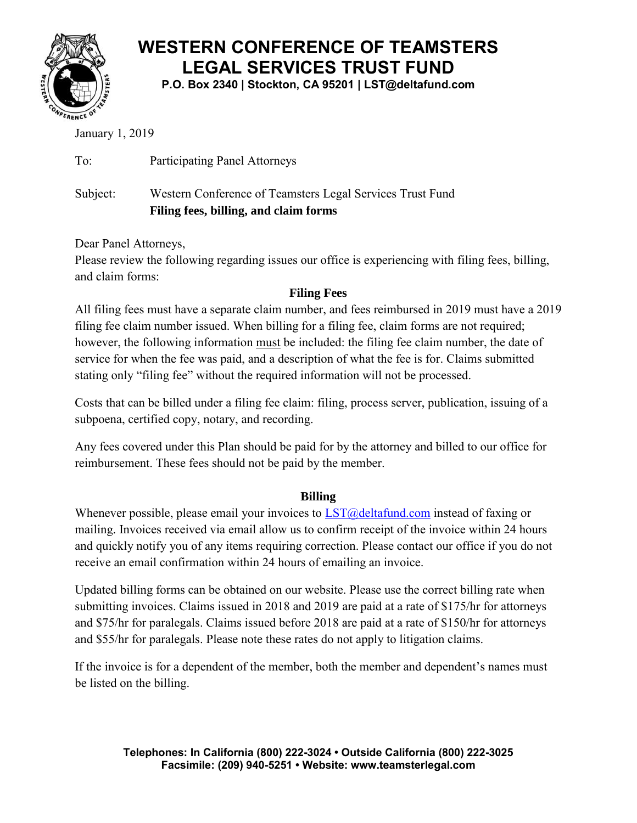

## **WESTERN CONFERENCE OF TEAMSTERS LEGAL SERVICES TRUST FUND**

**P.O. Box 2340 | Stockton, CA 95201 | LST@deltafund.com**

January 1, 2019

To: Participating Panel Attorneys

Subject: Western Conference of Teamsters Legal Services Trust Fund **Filing fees, billing, and claim forms** 

Dear Panel Attorneys,

Please review the following regarding issues our office is experiencing with filing fees, billing, and claim forms:

### **Filing Fees**

All filing fees must have a separate claim number, and fees reimbursed in 2019 must have a 2019 filing fee claim number issued. When billing for a filing fee, claim forms are not required; however, the following information must be included: the filing fee claim number, the date of service for when the fee was paid, and a description of what the fee is for. Claims submitted stating only "filing fee" without the required information will not be processed.

Costs that can be billed under a filing fee claim: filing, process server, publication, issuing of a subpoena, certified copy, notary, and recording.

Any fees covered under this Plan should be paid for by the attorney and billed to our office for reimbursement. These fees should not be paid by the member.

### **Billing**

Whenever possible, please email your invoices to  $LST@deltafund.com$  instead of faxing or mailing. Invoices received via email allow us to confirm receipt of the invoice within 24 hours and quickly notify you of any items requiring correction. Please contact our office if you do not receive an email confirmation within 24 hours of emailing an invoice.

Updated billing forms can be obtained on our website. Please use the correct billing rate when submitting invoices. Claims issued in 2018 and 2019 are paid at a rate of \$175/hr for attorneys and \$75/hr for paralegals. Claims issued before 2018 are paid at a rate of \$150/hr for attorneys and \$55/hr for paralegals. Please note these rates do not apply to litigation claims.

If the invoice is for a dependent of the member, both the member and dependent's names must be listed on the billing.

> **Telephones: In California (800) 222-3024 • Outside California (800) 222-3025 Facsimile: (209) 940-5251 • Website: www.teamsterlegal.com**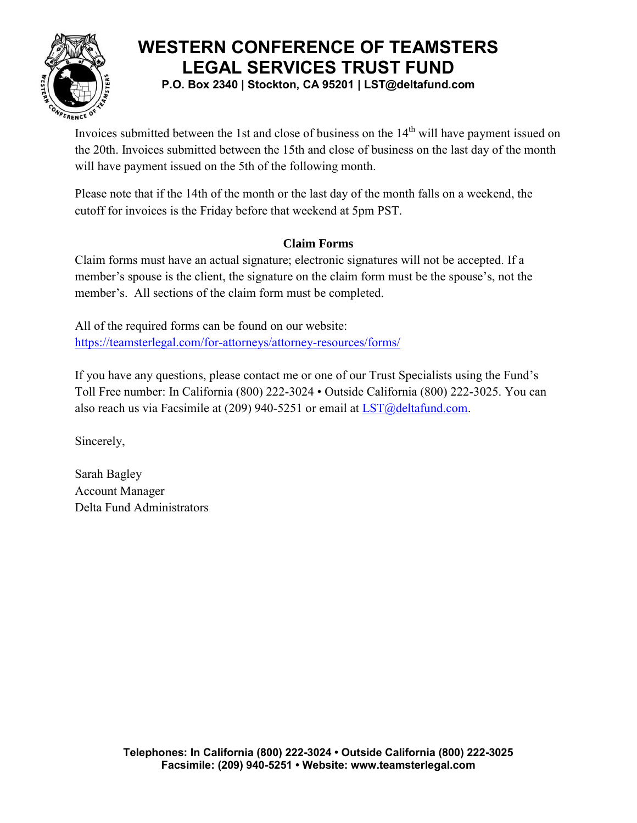

## **WESTERN CONFERENCE OF TEAMSTERS LEGAL SERVICES TRUST FUND**

**P.O. Box 2340 | Stockton, CA 95201 | LST@deltafund.com**

Invoices submitted between the 1st and close of business on the 14<sup>th</sup> will have payment issued on the 20th. Invoices submitted between the 15th and close of business on the last day of the month will have payment issued on the 5th of the following month.

Please note that if the 14th of the month or the last day of the month falls on a weekend, the cutoff for invoices is the Friday before that weekend at 5pm PST.

#### **Claim Forms**

Claim forms must have an actual signature; electronic signatures will not be accepted. If a member's spouse is the client, the signature on the claim form must be the spouse's, not the member's. All sections of the claim form must be completed.

All of the required forms can be found on our website: <https://teamsterlegal.com/for-attorneys/attorney-resources/forms/>

If you have any questions, please contact me or one of our Trust Specialists using the Fund's Toll Free number: In California (800) 222-3024 • Outside California (800) 222-3025. You can also reach us via Facsimile at (209) 940-5251 or email at  $LST@deltafund.com$ .

Sincerely,

Sarah Bagley Account Manager Delta Fund Administrators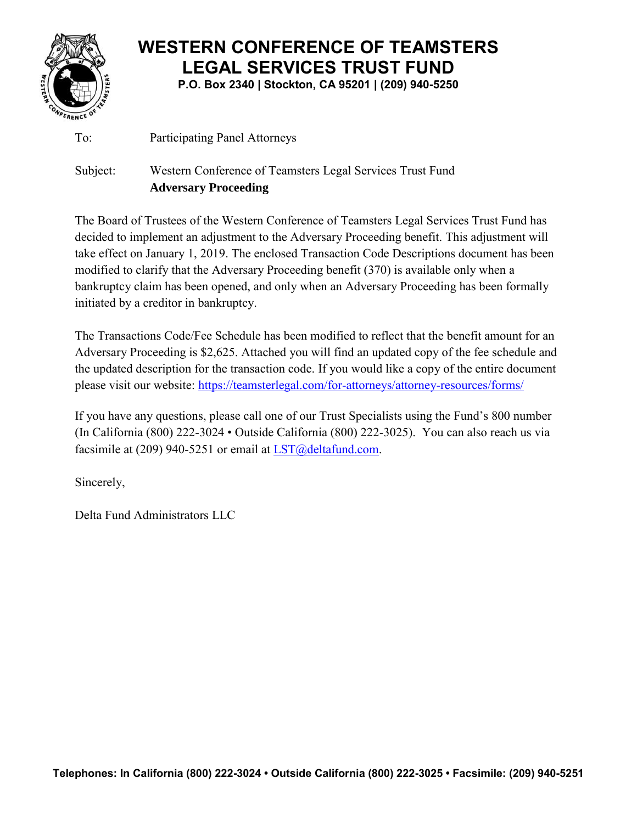

# **WESTERN CONFERENCE OF TEAMSTERS LEGAL SERVICES TRUST FUND**

**P.O. Box 2340 | Stockton, CA 95201 | (209) 940-5250**

To: Participating Panel Attorneys

### Subject: Western Conference of Teamsters Legal Services Trust Fund **Adversary Proceeding**

The Board of Trustees of the Western Conference of Teamsters Legal Services Trust Fund has decided to implement an adjustment to the Adversary Proceeding benefit. This adjustment will take effect on January 1, 2019. The enclosed Transaction Code Descriptions document has been modified to clarify that the Adversary Proceeding benefit (370) is available only when a bankruptcy claim has been opened, and only when an Adversary Proceeding has been formally initiated by a creditor in bankruptcy.

The Transactions Code/Fee Schedule has been modified to reflect that the benefit amount for an Adversary Proceeding is \$2,625. Attached you will find an updated copy of the fee schedule and the updated description for the transaction code. If you would like a copy of the entire document please visit our website:<https://teamsterlegal.com/for-attorneys/attorney-resources/forms/>

If you have any questions, please call one of our Trust Specialists using the Fund's 800 number (In California (800) 222-3024 • Outside California (800) 222-3025). You can also reach us via facsimile at (209) 940-5251 or email at  $LST@deltafund.com$ .

Sincerely,

Delta Fund Administrators LLC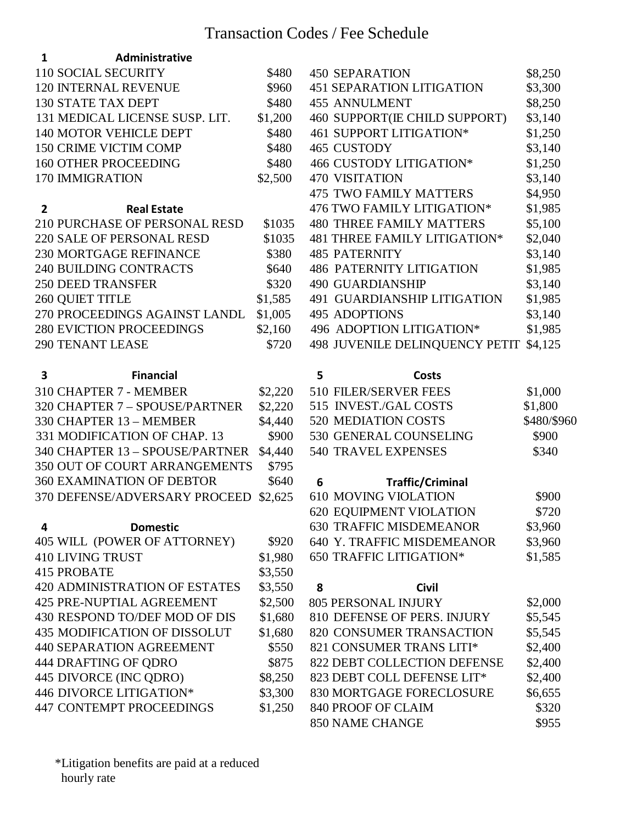| 1<br>Administrative                  |         |                                       |             |
|--------------------------------------|---------|---------------------------------------|-------------|
| <b>110 SOCIAL SECURITY</b>           | \$480   | <b>450 SEPARATION</b>                 | \$8,250     |
| <b>120 INTERNAL REVENUE</b>          | \$960   | <b>451 SEPARATION LITIGATION</b>      | \$3,300     |
| <b>130 STATE TAX DEPT</b>            | \$480   | <b>455 ANNULMENT</b>                  | \$8,250     |
| 131 MEDICAL LICENSE SUSP. LIT.       | \$1,200 | 460 SUPPORT(IE CHILD SUPPORT)         | \$3,140     |
| <b>140 MOTOR VEHICLE DEPT</b>        | \$480   | 461 SUPPORT LITIGATION*               | \$1,250     |
| <b>150 CRIME VICTIM COMP</b>         | \$480   | 465 CUSTODY                           | \$3,140     |
| <b>160 OTHER PROCEEDING</b>          | \$480   | 466 CUSTODY LITIGATION*               | \$1,250     |
| <b>170 IMMIGRATION</b>               | \$2,500 | <b>470 VISITATION</b>                 | \$3,140     |
|                                      |         | <b>475 TWO FAMILY MATTERS</b>         | \$4,950     |
| <b>Real Estate</b><br>$\overline{2}$ |         | 476 TWO FAMILY LITIGATION*            | \$1,985     |
| 210 PURCHASE OF PERSONAL RESD        | \$1035  | <b>480 THREE FAMILY MATTERS</b>       | \$5,100     |
| 220 SALE OF PERSONAL RESD            | \$1035  | 481 THREE FAMILY LITIGATION*          | \$2,040     |
| <b>230 MORTGAGE REFINANCE</b>        | \$380   | <b>485 PATERNITY</b>                  | \$3,140     |
| <b>240 BUILDING CONTRACTS</b>        | \$640   | <b>486 PATERNITY LITIGATION</b>       | \$1,985     |
| <b>250 DEED TRANSFER</b>             | \$320   | <b>490 GUARDIANSHIP</b>               | \$3,140     |
| <b>260 QUIET TITLE</b>               | \$1,585 | 491 GUARDIANSHIP LITIGATION           | \$1,985     |
| 270 PROCEEDINGS AGAINST LANDL        | \$1,005 | <b>495 ADOPTIONS</b>                  | \$3,140     |
| <b>280 EVICTION PROCEEDINGS</b>      | \$2,160 | 496 ADOPTION LITIGATION*              | \$1,985     |
| <b>290 TENANT LEASE</b>              | \$720   | <b>498 JUVENILE DELINQUENCY PETIT</b> | \$4,125     |
| <b>Financial</b><br>3                |         | 5<br><b>Costs</b>                     |             |
| 310 CHAPTER 7 - MEMBER               | \$2,220 | 510 FILER/SERVER FEES                 | \$1,000     |
| 320 CHAPTER 7 - SPOUSE/PARTNER       | \$2,220 | 515 INVEST./GAL COSTS                 | \$1,800     |
| 330 CHAPTER 13 - MEMBER              | \$4,440 | 520 MEDIATION COSTS                   | \$480/\$960 |
| 331 MODIFICATION OF CHAP. 13         | \$900   | 530 GENERAL COUNSELING                | \$900       |
| 340 CHAPTER 13 - SPOUSE/PARTNER      | \$4,440 | 540 TRAVEL EXPENSES                   | \$340       |
| 350 OUT OF COURT ARRANGEMENTS        | \$795   |                                       |             |
| <b>360 EXAMINATION OF DEBTOR</b>     | \$640   | 6<br><b>Traffic/Criminal</b>          |             |
| 370 DEFENSE/ADVERSARY PROCEED        | \$2,625 | <b>610 MOVING VIOLATION</b>           | \$900       |
|                                      |         | <b>620 EQUIPMENT VIOLATION</b>        | \$720       |
| <b>Domestic</b><br>4                 |         | 630 TRAFFIC MISDEMEANOR               | \$3,960     |
| 405 WILL (POWER OF ATTORNEY)         | \$920   | 640 Y. TRAFFIC MISDEMEANOR            | \$3,960     |
| <b>410 LIVING TRUST</b>              | \$1,980 | 650 TRAFFIC LITIGATION*               | \$1,585     |
| <b>415 PROBATE</b>                   | \$3,550 |                                       |             |
| <b>420 ADMINISTRATION OF ESTATES</b> | \$3,550 | 8<br><b>Civil</b>                     |             |
| <b>425 PRE-NUPTIAL AGREEMENT</b>     | \$2,500 | <b>805 PERSONAL INJURY</b>            | \$2,000     |
| 430 RESPOND TO/DEF MOD OF DIS        | \$1,680 | 810 DEFENSE OF PERS. INJURY           | \$5,545     |
| <b>435 MODIFICATION OF DISSOLUT</b>  | \$1,680 | 820 CONSUMER TRANSACTION              | \$5,545     |
| <b>440 SEPARATION AGREEMENT</b>      | \$550   | 821 CONSUMER TRANS LITI*              | \$2,400     |
| 444 DRAFTING OF QDRO                 | \$875   | 822 DEBT COLLECTION DEFENSE           | \$2,400     |
| 445 DIVORCE (INC QDRO)               | \$8,250 | 823 DEBT COLL DEFENSE LIT*            | \$2,400     |
| 446 DIVORCE LITIGATION*              | \$3,300 | 830 MORTGAGE FORECLOSURE              | \$6,655     |
| <b>447 CONTEMPT PROCEEDINGS</b>      | \$1,250 | 840 PROOF OF CLAIM                    | \$320       |
|                                      |         |                                       |             |